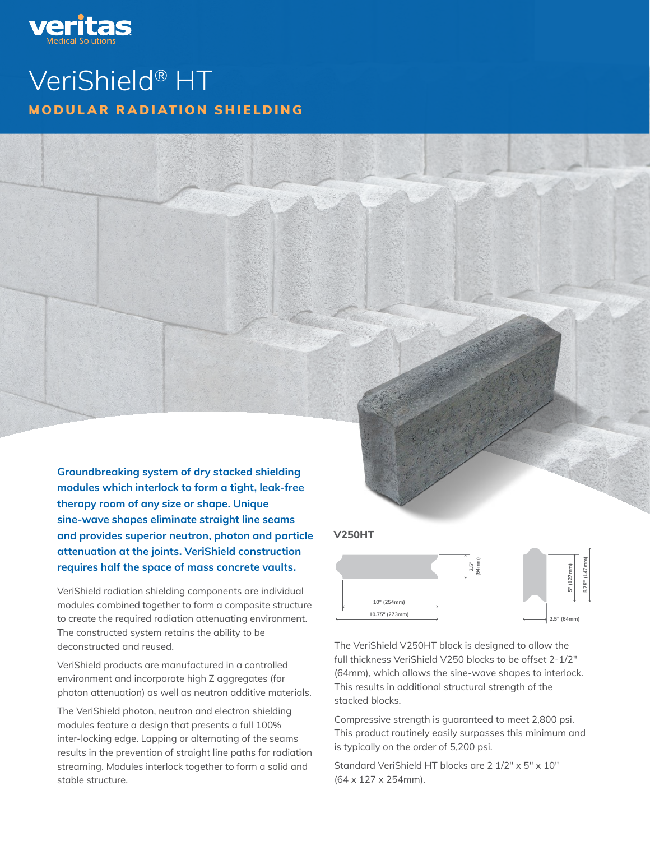

# VeriShield® HT MODULAR RADIATION SHIELDING

Groundbreaking system of dry stacked shielding modules which interlock to form a tight, leak-free therapy room of any size or shape. Unique sine-wave shapes eliminate straight line seams and provides superior neutron, photon and particle attenuation at the joints. VeriShield construction requires half the space of mass concrete vaults.

VeriShield radiation shielding components are individual modules combined together to form a composite structure to create the required radiation attenuating environment. The constructed system retains the ability to be deconstructed and reused.

VeriShield products are manufactured in a controlled environment and incorporate high Z aggregates (for photon attenuation) as well as neutron additive materials.

The VeriShield photon, neutron and electron shielding modules feature a design that presents a full 100% inter-locking edge. Lapping or alternating of the seams results in the prevention of straight line paths for radiation streaming. Modules interlock together to form a solid and stable structure.

#### **V250HT**

**10.75" (273mm)**

**V250S / V-300S / V-300S / V-300S / V-300S / V-300S / V-300S / V-300S / V-300S / V-300S / V-300S / V-300S / V-300S / V-300S / V-300S / V-300S / V-300S / V-300S / V-300S / V-300S / V-300S / V-300S / V-300S / V-300S / V-300S** 



**10" (254mm) 5" (127mm)**

**5" (127mm)**

**5" (127mm) 5.75" (147mm)**

The VeriShield V250HT block is designed to allow the full thickness VeriShield V250 blocks to be offset 2-1/2″ (64mm), which allows the sine-wave shapes to interlock. This results in additional structural strength of the stacked blocks.

Compressive strength is guaranteed to meet 2,800 psi. This product routinely easily surpasses this minimum and is typically on the order of 5,200 psi.

Standard VeriShield HT blocks are 2 1/2″ x 5″ x 10″ (64 x 127 x 254mm).